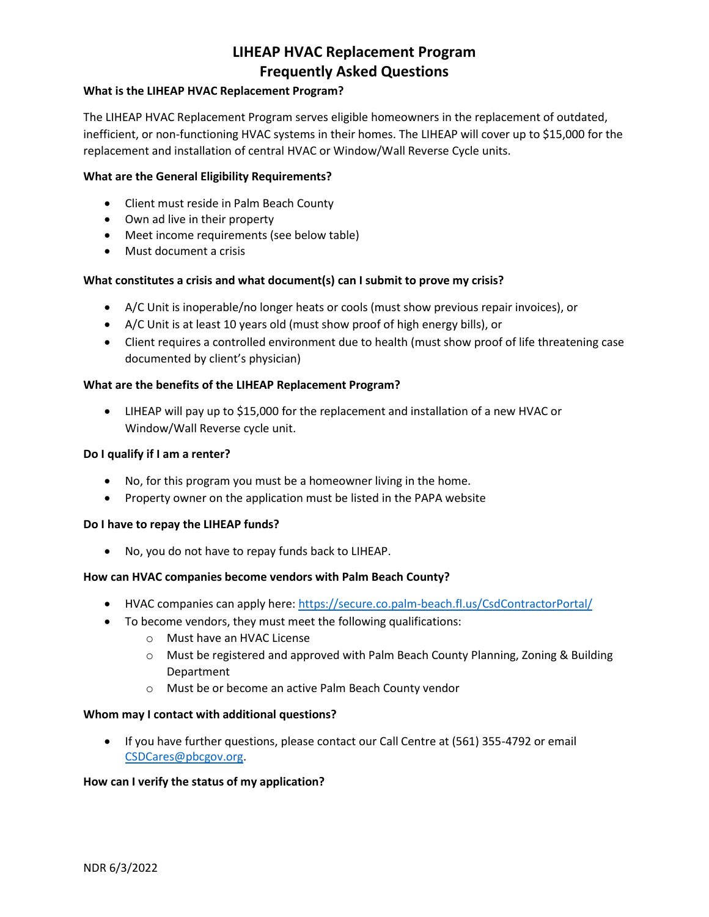## **What is the LIHEAP HVAC Replacement Program?**

The LIHEAP HVAC Replacement Program serves eligible homeowners in the replacement of outdated, inefficient, or non-functioning HVAC systems in their homes. The LIHEAP will cover up to \$15,000 for the replacement and installation of central HVAC or Window/Wall Reverse Cycle units.

#### **What are the General Eligibility Requirements?**

- Client must reside in Palm Beach County
- Own ad live in their property
- Meet income requirements (see below table)
- Must document a crisis

## **What constitutes a crisis and what document(s) can I submit to prove my crisis?**

- A/C Unit is inoperable/no longer heats or cools (must show previous repair invoices), or
- A/C Unit is at least 10 years old (must show proof of high energy bills), or
- Client requires a controlled environment due to health (must show proof of life threatening case documented by client's physician)

#### **What are the benefits of the LIHEAP Replacement Program?**

 LIHEAP will pay up to \$15,000 for the replacement and installation of a new HVAC or Window/Wall Reverse cycle unit.

#### **Do I qualify if I am a renter?**

- No, for this program you must be a homeowner living in the home.
- Property owner on the application must be listed in the PAPA website

#### **Do I have to repay the LIHEAP funds?**

No, you do not have to repay funds back to LIHEAP.

#### **How can HVAC companies become vendors with Palm Beach County?**

- HVAC companies can apply here[: https://secure.co.palm-beach.fl.us/CsdContractorPortal/](https://secure.co.palm-beach.fl.us/CsdContractorPortal/)
- To become vendors, they must meet the following qualifications:
	- o Must have an HVAC License
	- o Must be registered and approved with Palm Beach County Planning, Zoning & Building Department
	- o Must be or become an active Palm Beach County vendor

#### **Whom may I contact with additional questions?**

 If you have further questions, please contact our Call Centre at (561) 355-4792 or email [CSDCares@pbcgov.org.](mailto:CSDCares@pbcgov.org)

#### **How can I verify the status of my application?**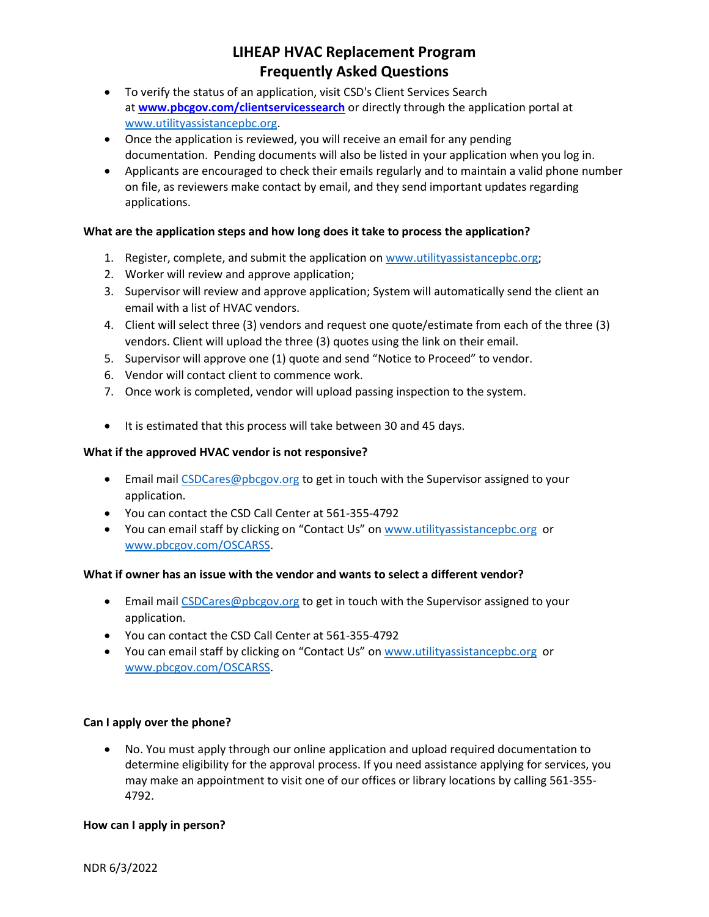- To verify the status of an application, visit CSD's Client Services Search at **[www.pbcgov.com/clientservicessearch](http://www.pbcgov.com/clientservicessearch)** or directly through the application portal at [www.utilityassistancepbc.org.](http://www.utilityassistancepbc.org/)
- Once the application is reviewed, you will receive an email for any pending documentation. Pending documents will also be listed in your application when you log in.
- Applicants are encouraged to check their emails regularly and to maintain a valid phone number on file, as reviewers make contact by email, and they send important updates regarding applications.

# **What are the application steps and how long does it take to process the application?**

- 1. Register, complete, and submit the application on [www.utilityassistancepbc.org;](http://www.utilityassistancepbc.org/)
- 2. Worker will review and approve application;
- 3. Supervisor will review and approve application; System will automatically send the client an email with a list of HVAC vendors.
- 4. Client will select three (3) vendors and request one quote/estimate from each of the three (3) vendors. Client will upload the three (3) quotes using the link on their email.
- 5. Supervisor will approve one (1) quote and send "Notice to Proceed" to vendor.
- 6. Vendor will contact client to commence work.
- 7. Once work is completed, vendor will upload passing inspection to the system.
- It is estimated that this process will take between 30 and 45 days.

#### **What if the approved HVAC vendor is not responsive?**

- Email mai[l CSDCares@pbcgov.org](mailto:CSDCares@pbcgov.org) to get in touch with the Supervisor assigned to your application.
- You can contact the CSD Call Center at 561-355-4792
- You can email staff by clicking on "Contact Us" on [www.utilityassistancepbc.org](http://www.utilityassistancepbc.org/) or [www.pbcgov.com/OSCARSS.](http://www.pbcgov.com/OSCARSS)

## **What if owner has an issue with the vendor and wants to select a different vendor?**

- **Email mai[l CSDCares@pbcgov.org](mailto:CSDCares@pbcgov.org) to get in touch with the Supervisor assigned to your** application.
- You can contact the CSD Call Center at 561-355-4792
- You can email staff by clicking on "Contact Us" on [www.utilityassistancepbc.org](http://www.utilityassistancepbc.org/) or [www.pbcgov.com/OSCARSS.](http://www.pbcgov.com/OSCARSS)

## **Can I apply over the phone?**

 No. You must apply through our online application and upload required documentation to determine eligibility for the approval process. If you need assistance applying for services, you may make an appointment to visit one of our offices or library locations by calling 561-355- 4792.

#### **How can I apply in person?**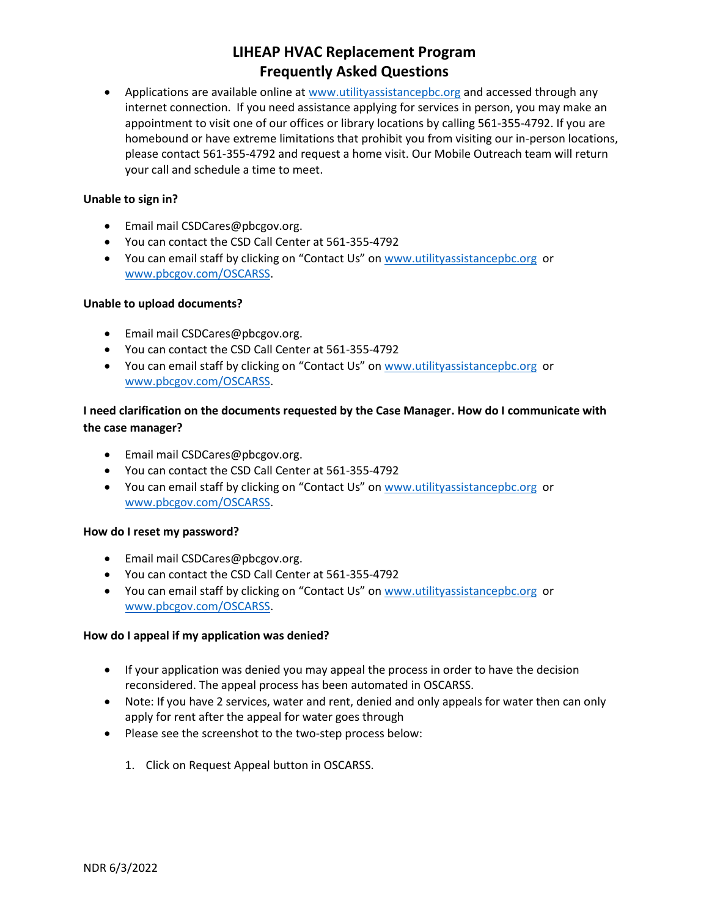• Applications are available online at [www.utilityassistancepbc.org](http://www.utilityassistancepbc.org/) and accessed through any internet connection. If you need assistance applying for services in person, you may make an appointment to visit one of our offices or library locations by calling 561-355-4792. If you are homebound or have extreme limitations that prohibit you from visiting our in-person locations, please contact 561-355-4792 and request a home visit. Our Mobile Outreach team will return your call and schedule a time to meet.

## **Unable to sign in?**

- Email mail CSDCares@pbcgov.org.
- You can contact the CSD Call Center at 561-355-4792
- You can email staff by clicking on "Contact Us" on [www.utilityassistancepbc.org](http://www.utilityassistancepbc.org/) or [www.pbcgov.com/OSCARSS.](http://www.pbcgov.com/OSCARSS)

## **Unable to upload documents?**

- Email mail CSDCares@pbcgov.org.
- You can contact the CSD Call Center at 561-355-4792
- You can email staff by clicking on "Contact Us" on [www.utilityassistancepbc.org](http://www.utilityassistancepbc.org/) or [www.pbcgov.com/OSCARSS.](http://www.pbcgov.com/OSCARSS)

# **I need clarification on the documents requested by the Case Manager. How do I communicate with the case manager?**

- Email mail CSDCares@pbcgov.org.
- You can contact the CSD Call Center at 561-355-4792
- You can email staff by clicking on "Contact Us" on [www.utilityassistancepbc.org](http://www.utilityassistancepbc.org/) or [www.pbcgov.com/OSCARSS.](http://www.pbcgov.com/OSCARSS)

## **How do I reset my password?**

- Email mail CSDCares@pbcgov.org.
- You can contact the CSD Call Center at 561-355-4792
- You can email staff by clicking on "Contact Us" on [www.utilityassistancepbc.org](http://www.utilityassistancepbc.org/) or [www.pbcgov.com/OSCARSS.](http://www.pbcgov.com/OSCARSS)

# **How do I appeal if my application was denied?**

- If your application was denied you may appeal the process in order to have the decision reconsidered. The appeal process has been automated in OSCARSS.
- Note: If you have 2 services, water and rent, denied and only appeals for water then can only apply for rent after the appeal for water goes through
- Please see the screenshot to the two-step process below:
	- 1. Click on Request Appeal button in OSCARSS.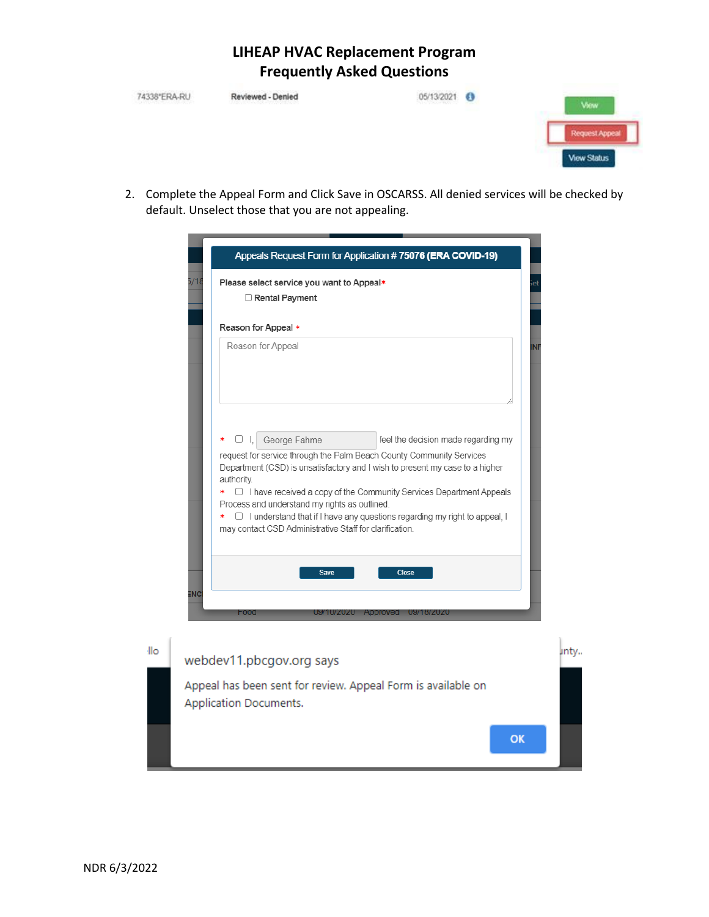| 338°FRA.RI | Reviewed - De                                                                                                                                     |  | View                                       |
|------------|---------------------------------------------------------------------------------------------------------------------------------------------------|--|--------------------------------------------|
|            |                                                                                                                                                   |  | <b>Request Appea</b><br><b>View Status</b> |
| 2.         | Complete the Appeal Form and Click Save in OSCARSS. All denied services will be checked by<br>default. Unselect those that you are not appealing. |  |                                            |
|            | Appeals Request Form for Application #75076 (ERA COVID-19)                                                                                        |  |                                            |
|            | Please select service you want to Appeal*<br>$\Box$ Rental Payment                                                                                |  |                                            |
|            | Reason for Appeal *                                                                                                                               |  |                                            |
|            | Reason for Appeal                                                                                                                                 |  |                                            |

|     | Rental Payment                                                                                                                                                                                                                                                                       |
|-----|--------------------------------------------------------------------------------------------------------------------------------------------------------------------------------------------------------------------------------------------------------------------------------------|
|     | Reason for Appeal *                                                                                                                                                                                                                                                                  |
|     | Reason for Appeal<br><b>INF</b>                                                                                                                                                                                                                                                      |
|     | □ I, George Fahme<br>feel the decision made regarding my<br>∗                                                                                                                                                                                                                        |
|     | request for service through the Palm Beach County Community Services<br>Department (CSD) is unsatisfactory and I wish to present my case to a higher<br>authority.                                                                                                                   |
|     | $\Box$ I have received a copy of the Community Services Department Appeals<br>∗<br>Process and understand my rights as outlined.<br>$\Box$ I understand that if I have any questions regarding my right to appeal, I<br>*<br>may contact CSD Administrative Staff for clarification. |
| ENC | <b>Save</b><br><b>Close</b>                                                                                                                                                                                                                                                          |
|     | Food<br>Approved<br><b>08119/2020</b><br>U9/1U/ZUZU                                                                                                                                                                                                                                  |
|     | webdev11.pbcgov.org says                                                                                                                                                                                                                                                             |
|     | Appeal has been sent for review. Appeal Form is available on<br><b>Application Documents.</b>                                                                                                                                                                                        |
|     | OK                                                                                                                                                                                                                                                                                   |